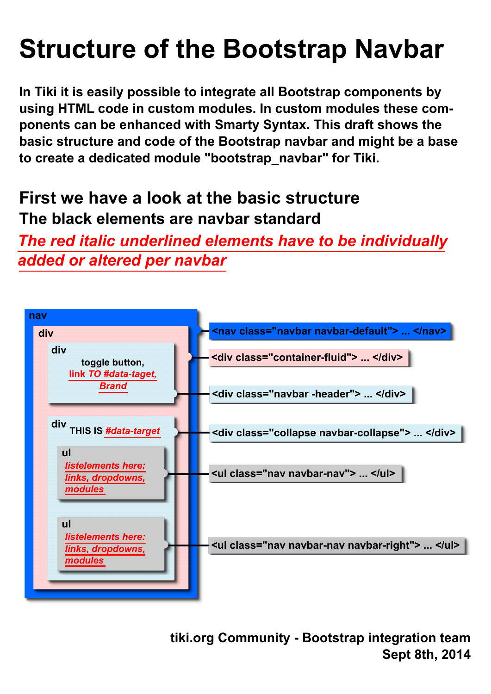## **Structure of the Bootstrap Navbar**

**In Tiki it is easily possible to integrate all Bootstrap components by using HTML code in custom modules. In custom modules these components can be enhanced with Smarty Syntax. This draft shows the basic structure and code of the Bootstrap navbar and might be a base to create a dedicated module "bootstrap\_navbar" for Tiki.** 

## **First we have a look at the basic structure The black elements are navbar standard**

*The red italic underlined elements have to be individually added or altered per navbar*



**tiki.org Community - Bootstrap integration team Sept 8th, 2014**